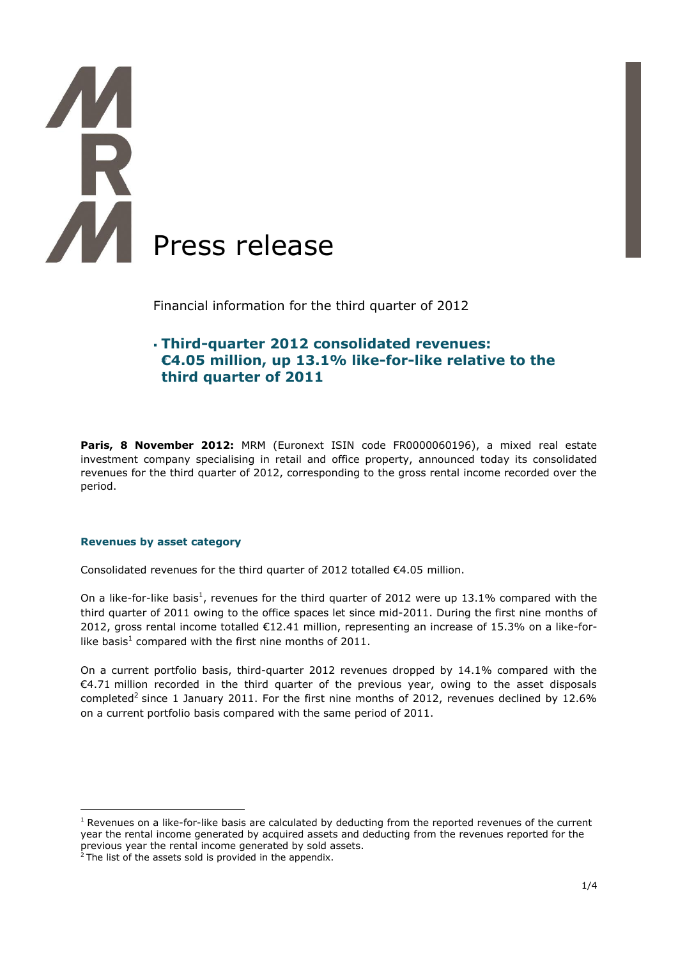

Financial information for the third quarter of 2012

# **Third-quarter 2012 consolidated revenues: €4.05 million, up 13.1% like-for-like relative to the third quarter of 2011**

Paris, 8 November 2012: MRM (Euronext ISIN code FR0000060196), a mixed real estate investment company specialising in retail and office property, announced today its consolidated revenues for the third quarter of 2012, corresponding to the gross rental income recorded over the period.

#### **Revenues by asset category**

<u>.</u>

Consolidated revenues for the third quarter of 2012 totalled €4.05 million.

On a like-for-like basis<sup>1</sup>, revenues for the third quarter of 2012 were up 13.1% compared with the third quarter of 2011 owing to the office spaces let since mid-2011. During the first nine months of 2012, gross rental income totalled €12.41 million, representing an increase of 15.3% on a like-forlike basis<sup>1</sup> compared with the first nine months of 2011.

On a current portfolio basis, third-quarter 2012 revenues dropped by 14.1% compared with the €4.71 million recorded in the third quarter of the previous year, owing to the asset disposals completed<sup>2</sup> since 1 January 2011. For the first nine months of 2012, revenues declined by 12.6% on a current portfolio basis compared with the same period of 2011.

 $1$  Revenues on a like-for-like basis are calculated by deducting from the reported revenues of the current year the rental income generated by acquired assets and deducting from the revenues reported for the previous year the rental income generated by sold assets.

 $2$  The list of the assets sold is provided in the appendix.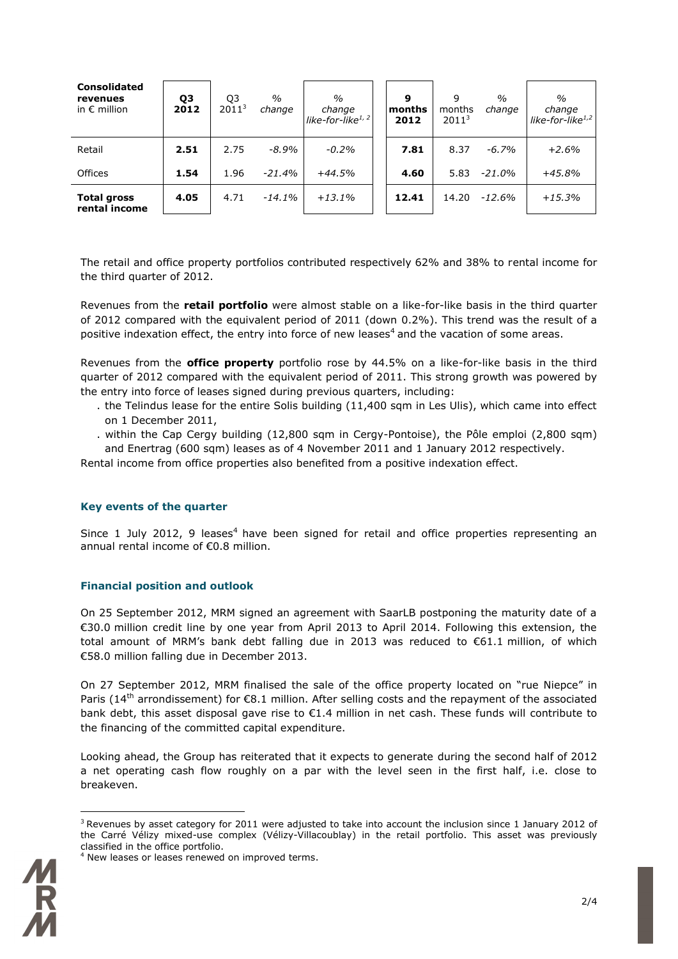| <b>Consolidated</b><br>revenues<br>in $\epsilon$ million | Q3<br>2012 | Q3<br>2011 <sup>3</sup> | $\frac{0}{0}$<br>change | $\%$<br>change<br>like-for-like $1/2$ | 9<br>months<br>2012 | 9<br>months<br>2011 <sup>3</sup> | $\frac{0}{0}$<br>change | $\%$<br>change<br>like-for-like $1,2$ |
|----------------------------------------------------------|------------|-------------------------|-------------------------|---------------------------------------|---------------------|----------------------------------|-------------------------|---------------------------------------|
| Retail                                                   | 2.51       | 2.75                    | $-8.9%$                 | $-0.2\%$                              | 7.81                | 8.37                             | $-6.7\%$                | $+2.6%$                               |
| Offices                                                  | 1.54       | 1.96                    | $-21.4%$                | $+44.5%$                              | 4.60                | 5.83                             | $-21.0%$                | $+45.8%$                              |
| <b>Total gross</b><br>rental income                      | 4.05       | 4.71                    | $-14.1%$                | $+13.1%$                              | 12.41               | 14.20                            | $-12.6%$                | $+15.3%$                              |

The retail and office property portfolios contributed respectively 62% and 38% to rental income for the third quarter of 2012.

Revenues from the **retail portfolio** were almost stable on a like-for-like basis in the third quarter of 2012 compared with the equivalent period of 2011 (down 0.2%). This trend was the result of a positive indexation effect, the entry into force of new leases<sup>4</sup> and the vacation of some areas.

Revenues from the **office property** portfolio rose by 44.5% on a like-for-like basis in the third quarter of 2012 compared with the equivalent period of 2011. This strong growth was powered by the entry into force of leases signed during previous quarters, including:

- . the Telindus lease for the entire Solis building (11,400 sqm in Les Ulis), which came into effect on 1 December 2011,
- . within the Cap Cergy building (12,800 sqm in Cergy-Pontoise), the Pôle emploi (2,800 sqm) and Enertrag (600 sqm) leases as of 4 November 2011 and 1 January 2012 respectively.

Rental income from office properties also benefited from a positive indexation effect.

#### **Key events of the quarter**

Since 1 July 2012, 9 leases<sup>4</sup> have been signed for retail and office properties representing an annual rental income of €0.8 million.

## **Financial position and outlook**

On 25 September 2012, MRM signed an agreement with SaarLB postponing the maturity date of a €30.0 million credit line by one year from April 2013 to April 2014. Following this extension, the total amount of MRM's bank debt falling due in 2013 was reduced to €61.1 million, of which €58.0 million falling due in December 2013.

On 27 September 2012, MRM finalised the sale of the office property located on "rue Niepce" in Paris ( $14<sup>th</sup>$  arrondissement) for  $\epsilon$ 8.1 million. After selling costs and the repayment of the associated bank debt, this asset disposal gave rise to  $\epsilon$ 1.4 million in net cash. These funds will contribute to the financing of the committed capital expenditure.

Looking ahead, the Group has reiterated that it expects to generate during the second half of 2012 a net operating cash flow roughly on a par with the level seen in the first half, i.e. close to breakeven.

<sup>&</sup>lt;sup>4</sup> New leases or leases renewed on improved terms.



1

 $3$  Revenues by asset category for 2011 were adjusted to take into account the inclusion since 1 January 2012 of the Carré Vélizy mixed-use complex (Vélizy-Villacoublay) in the retail portfolio. This asset was previously classified in the office portfolio.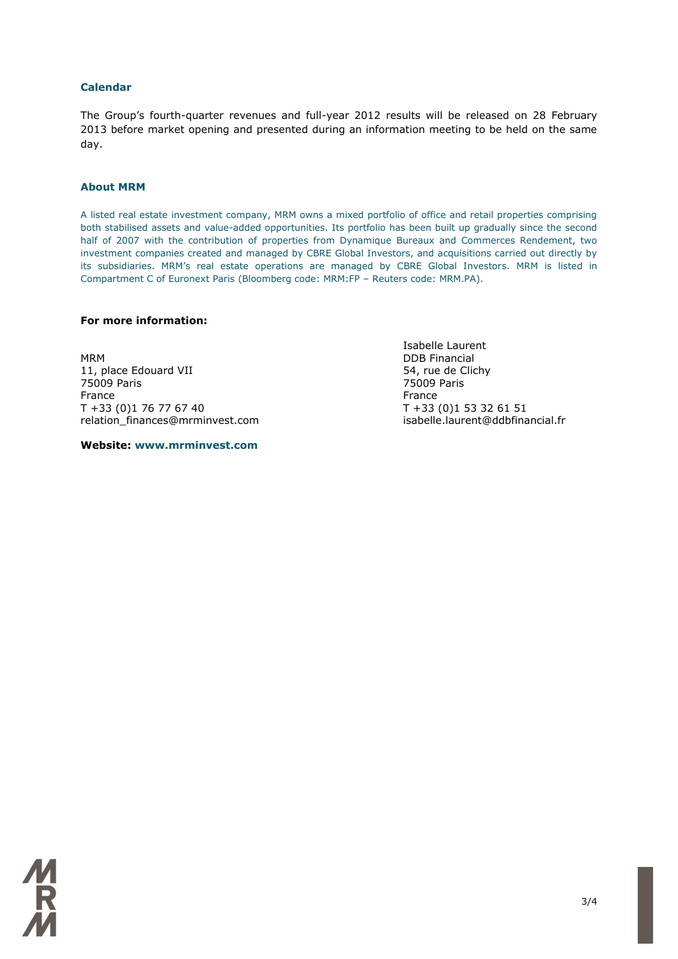#### **Calendar**

The Group's fourth-quarter revenues and full-year 2012 results will be released on 28 February 2013 before market opening and presented during an information meeting to be held on the same day.

#### **About MRM**

A listed real estate investment company, MRM owns a mixed portfolio of office and retail properties comprising both stabilised assets and value-added opportunities. Its portfolio has been built up gradually since the second half of 2007 with the contribution of properties from Dynamique Bureaux and Commerces Rendement, two investment companies created and managed by CBRE Global Investors, and acquisitions carried out directly by its subsidiaries. MRM's real estate operations are managed by CBRE Global Investors. MRM is listed in Compartment C of Euronext Paris (Bloomberg code: MRM:FP – Reuters code: MRM.PA).

### **For more information:**

MRM DDB Financial 11, place Edouard VII 11, place Edouard VII 11, place Edouard VII 11, place 54, rue de Clichy 75009 Paris 75009 Paris France **France France France**  $T + 33$  (0)1 76 77 67 40<br>  $T + 33$  (0)1 53 32 61 51<br>  $T + 33$  (0)1 53 32 61 51<br>  $T + 33$  (0)1 53 32 61 51 relation finances@mrminvest.com

**Website: www.mrminvest.com**

Isabelle Laurent